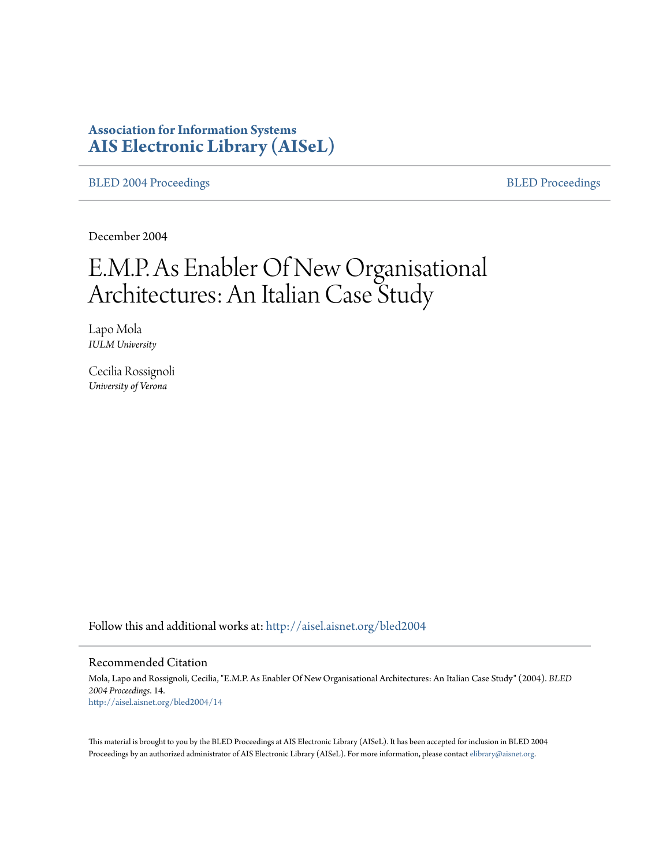# **Association for Information Systems [AIS Electronic Library \(AISeL\)](http://aisel.aisnet.org?utm_source=aisel.aisnet.org%2Fbled2004%2F14&utm_medium=PDF&utm_campaign=PDFCoverPages)**

[BLED 2004 Proceedings](http://aisel.aisnet.org/bled2004?utm_source=aisel.aisnet.org%2Fbled2004%2F14&utm_medium=PDF&utm_campaign=PDFCoverPages) **[BLED Proceedings](http://aisel.aisnet.org/bled?utm_source=aisel.aisnet.org%2Fbled2004%2F14&utm_medium=PDF&utm_campaign=PDFCoverPages)** 

December 2004

# E.M.P. As Enabler Of New Organisational Architectures: An Italian Case Study

Lapo Mola *IULM University*

Cecilia Rossignoli *University of Verona*

Follow this and additional works at: [http://aisel.aisnet.org/bled2004](http://aisel.aisnet.org/bled2004?utm_source=aisel.aisnet.org%2Fbled2004%2F14&utm_medium=PDF&utm_campaign=PDFCoverPages)

#### Recommended Citation

Mola, Lapo and Rossignoli, Cecilia, "E.M.P. As Enabler Of New Organisational Architectures: An Italian Case Study" (2004). *BLED 2004 Proceedings*. 14. [http://aisel.aisnet.org/bled2004/14](http://aisel.aisnet.org/bled2004/14?utm_source=aisel.aisnet.org%2Fbled2004%2F14&utm_medium=PDF&utm_campaign=PDFCoverPages)

This material is brought to you by the BLED Proceedings at AIS Electronic Library (AISeL). It has been accepted for inclusion in BLED 2004 Proceedings by an authorized administrator of AIS Electronic Library (AISeL). For more information, please contact [elibrary@aisnet.org](mailto:elibrary@aisnet.org%3E).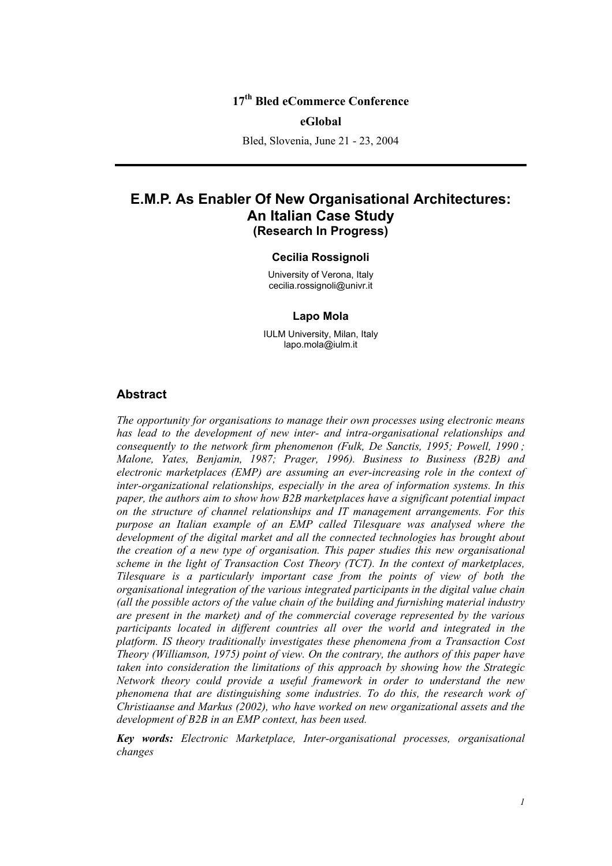## **17th Bled eCommerce Conference**

#### **eGlobal**

Bled, Slovenia, June 21 - 23, 2004

## **E.M.P. As Enabler Of New Organisational Architectures: An Italian Case Study (Research In Progress)**

#### **Cecilia Rossignoli**

University of Verona, Italy cecilia.rossignoli@univr.it

#### **Lapo Mola**

IULM University, Milan, Italy lapo.mola@iulm.it

#### **Abstract**

*The opportunity for organisations to manage their own processes using electronic means has lead to the development of new inter- and intra-organisational relationships and consequently to the network firm phenomenon (Fulk, De Sanctis, 1995; Powell, 1990 ; Malone, Yates, Benjamin, 1987; Prager, 1996). Business to Business (B2B) and electronic marketplaces (EMP) are assuming an ever-increasing role in the context of inter-organizational relationships, especially in the area of information systems. In this paper, the authors aim to show how B2B marketplaces have a significant potential impact on the structure of channel relationships and IT management arrangements. For this purpose an Italian example of an EMP called Tilesquare was analysed where the development of the digital market and all the connected technologies has brought about the creation of a new type of organisation. This paper studies this new organisational scheme in the light of Transaction Cost Theory (TCT). In the context of marketplaces, Tilesquare is a particularly important case from the points of view of both the organisational integration of the various integrated participants in the digital value chain (all the possible actors of the value chain of the building and furnishing material industry are present in the market) and of the commercial coverage represented by the various participants located in different countries all over the world and integrated in the platform. IS theory traditionally investigates these phenomena from a Transaction Cost Theory (Williamson, 1975) point of view. On the contrary, the authors of this paper have taken into consideration the limitations of this approach by showing how the Strategic Network theory could provide a useful framework in order to understand the new phenomena that are distinguishing some industries. To do this, the research work of Christiaanse and Markus (2002), who have worked on new organizational assets and the development of B2B in an EMP context, has been used.* 

*Key words: Electronic Marketplace, Inter-organisational processes, organisational changes*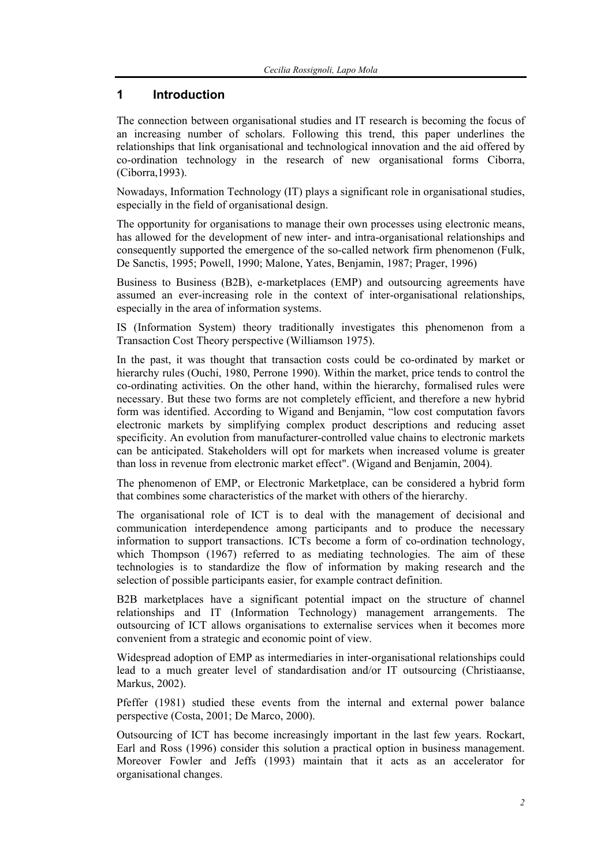## **1 Introduction**

The connection between organisational studies and IT research is becoming the focus of an increasing number of scholars. Following this trend, this paper underlines the relationships that link organisational and technological innovation and the aid offered by co-ordination technology in the research of new organisational forms Ciborra, (Ciborra,1993).

Nowadays, Information Technology (IT) plays a significant role in organisational studies, especially in the field of organisational design.

The opportunity for organisations to manage their own processes using electronic means, has allowed for the development of new inter- and intra-organisational relationships and consequently supported the emergence of the so-called network firm phenomenon (Fulk, De Sanctis, 1995; Powell, 1990; Malone, Yates, Benjamin, 1987; Prager, 1996)

Business to Business (B2B), e-marketplaces (EMP) and outsourcing agreements have assumed an ever-increasing role in the context of inter-organisational relationships, especially in the area of information systems.

IS (Information System) theory traditionally investigates this phenomenon from a Transaction Cost Theory perspective (Williamson 1975).

In the past, it was thought that transaction costs could be co-ordinated by market or hierarchy rules (Ouchi, 1980, Perrone 1990). Within the market, price tends to control the co-ordinating activities. On the other hand, within the hierarchy, formalised rules were necessary. But these two forms are not completely efficient, and therefore a new hybrid form was identified. According to Wigand and Benjamin, "low cost computation favors electronic markets by simplifying complex product descriptions and reducing asset specificity. An evolution from manufacturer-controlled value chains to electronic markets can be anticipated. Stakeholders will opt for markets when increased volume is greater than loss in revenue from electronic market effect". (Wigand and Benjamin, 2004).

The phenomenon of EMP, or Electronic Marketplace, can be considered a hybrid form that combines some characteristics of the market with others of the hierarchy.

The organisational role of ICT is to deal with the management of decisional and communication interdependence among participants and to produce the necessary information to support transactions. ICTs become a form of co-ordination technology, which Thompson (1967) referred to as mediating technologies. The aim of these technologies is to standardize the flow of information by making research and the selection of possible participants easier, for example contract definition.

B2B marketplaces have a significant potential impact on the structure of channel relationships and IT (Information Technology) management arrangements. The outsourcing of ICT allows organisations to externalise services when it becomes more convenient from a strategic and economic point of view.

Widespread adoption of EMP as intermediaries in inter-organisational relationships could lead to a much greater level of standardisation and/or IT outsourcing (Christiaanse, Markus, 2002).

Pfeffer (1981) studied these events from the internal and external power balance perspective (Costa, 2001; De Marco, 2000).

Outsourcing of ICT has become increasingly important in the last few years. Rockart, Earl and Ross (1996) consider this solution a practical option in business management. Moreover Fowler and Jeffs (1993) maintain that it acts as an accelerator for organisational changes.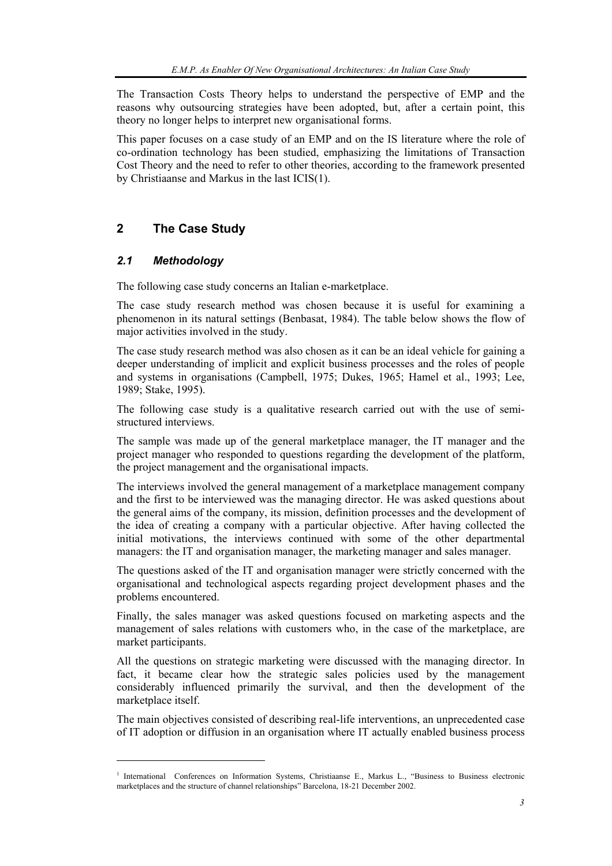The Transaction Costs Theory helps to understand the perspective of EMP and the reasons why outsourcing strategies have been adopted, but, after a certain point, this theory no longer helps to interpret new organisational forms.

This paper focuses on a case study of an EMP and on the IS literature where the role of co-ordination technology has been studied, emphasizing the limitations of Transaction Cost Theory and the need to refer to other theories, according to the framework presented by Christiaanse and Markus in the last ICIS(1).

## **2 The Case Study**

## *2.1 Methodology*

l

The following case study concerns an Italian e-marketplace.

The case study research method was chosen because it is useful for examining a phenomenon in its natural settings (Benbasat, 1984). The table below shows the flow of major activities involved in the study.

The case study research method was also chosen as it can be an ideal vehicle for gaining a deeper understanding of implicit and explicit business processes and the roles of people and systems in organisations (Campbell, 1975; Dukes, 1965; Hamel et al., 1993; Lee, 1989; Stake, 1995).

The following case study is a qualitative research carried out with the use of semistructured interviews.

The sample was made up of the general marketplace manager, the IT manager and the project manager who responded to questions regarding the development of the platform, the project management and the organisational impacts.

The interviews involved the general management of a marketplace management company and the first to be interviewed was the managing director. He was asked questions about the general aims of the company, its mission, definition processes and the development of the idea of creating a company with a particular objective. After having collected the initial motivations, the interviews continued with some of the other departmental managers: the IT and organisation manager, the marketing manager and sales manager.

The questions asked of the IT and organisation manager were strictly concerned with the organisational and technological aspects regarding project development phases and the problems encountered.

Finally, the sales manager was asked questions focused on marketing aspects and the management of sales relations with customers who, in the case of the marketplace, are market participants.

All the questions on strategic marketing were discussed with the managing director. In fact, it became clear how the strategic sales policies used by the management considerably influenced primarily the survival, and then the development of the marketplace itself.

The main objectives consisted of describing real-life interventions, an unprecedented case of IT adoption or diffusion in an organisation where IT actually enabled business process

<sup>&</sup>lt;sup>1</sup> International Conferences on Information Systems, Christiaanse E., Markus L., "Business to Business electronic marketplaces and the structure of channel relationships" Barcelona, 18-21 December 2002.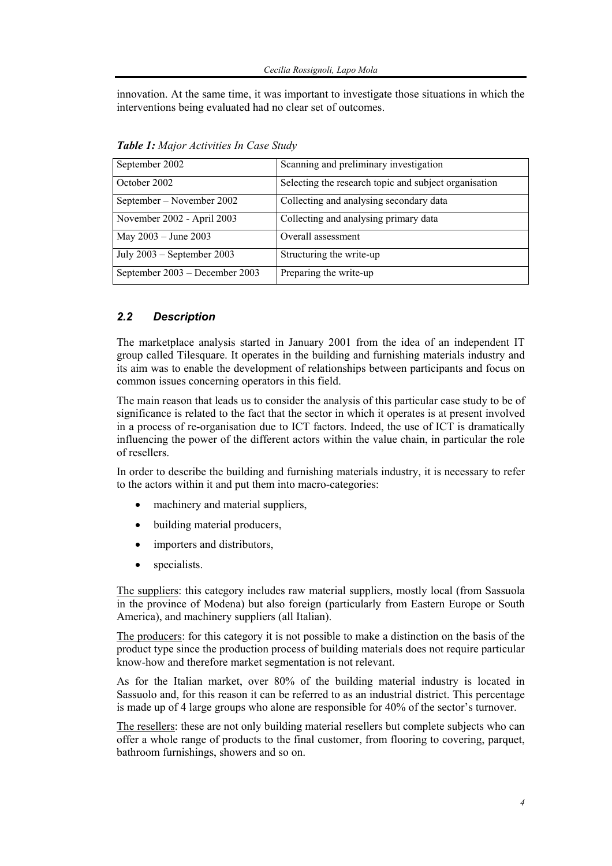innovation. At the same time, it was important to investigate those situations in which the interventions being evaluated had no clear set of outcomes.

| September 2002                 | Scanning and preliminary investigation                |  |
|--------------------------------|-------------------------------------------------------|--|
| October 2002                   | Selecting the research topic and subject organisation |  |
| September – November 2002      | Collecting and analysing secondary data               |  |
| November 2002 - April 2003     | Collecting and analysing primary data                 |  |
| May 2003 - June 2003           | Overall assessment                                    |  |
| July $2003$ – September 2003   | Structuring the write-up                              |  |
| September 2003 – December 2003 | Preparing the write-up                                |  |

*Table 1: Major Activities In Case Study* 

## *2.2 Description*

The marketplace analysis started in January 2001 from the idea of an independent IT group called Tilesquare. It operates in the building and furnishing materials industry and its aim was to enable the development of relationships between participants and focus on common issues concerning operators in this field.

The main reason that leads us to consider the analysis of this particular case study to be of significance is related to the fact that the sector in which it operates is at present involved in a process of re-organisation due to ICT factors. Indeed, the use of ICT is dramatically influencing the power of the different actors within the value chain, in particular the role of resellers.

In order to describe the building and furnishing materials industry, it is necessary to refer to the actors within it and put them into macro-categories:

- machinery and material suppliers,
- building material producers,
- importers and distributors,
- specialists.

The suppliers: this category includes raw material suppliers, mostly local (from Sassuola in the province of Modena) but also foreign (particularly from Eastern Europe or South America), and machinery suppliers (all Italian).

The producers: for this category it is not possible to make a distinction on the basis of the product type since the production process of building materials does not require particular know-how and therefore market segmentation is not relevant.

As for the Italian market, over 80% of the building material industry is located in Sassuolo and, for this reason it can be referred to as an industrial district. This percentage is made up of 4 large groups who alone are responsible for 40% of the sector's turnover.

The resellers: these are not only building material resellers but complete subjects who can offer a whole range of products to the final customer, from flooring to covering, parquet, bathroom furnishings, showers and so on.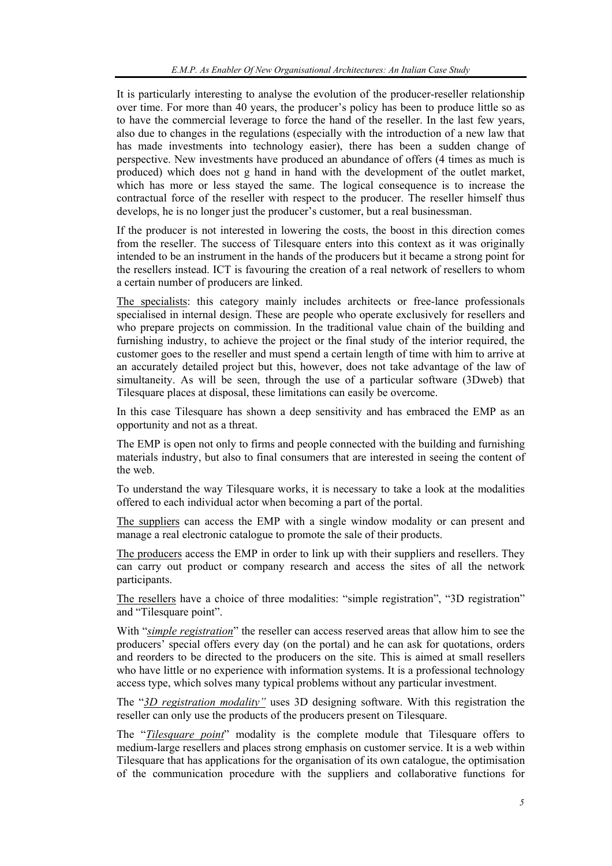It is particularly interesting to analyse the evolution of the producer-reseller relationship over time. For more than 40 years, the producer's policy has been to produce little so as to have the commercial leverage to force the hand of the reseller. In the last few years, also due to changes in the regulations (especially with the introduction of a new law that has made investments into technology easier), there has been a sudden change of perspective. New investments have produced an abundance of offers (4 times as much is produced) which does not g hand in hand with the development of the outlet market, which has more or less stayed the same. The logical consequence is to increase the contractual force of the reseller with respect to the producer. The reseller himself thus develops, he is no longer just the producer's customer, but a real businessman.

If the producer is not interested in lowering the costs, the boost in this direction comes from the reseller. The success of Tilesquare enters into this context as it was originally intended to be an instrument in the hands of the producers but it became a strong point for the resellers instead. ICT is favouring the creation of a real network of resellers to whom a certain number of producers are linked.

The specialists: this category mainly includes architects or free-lance professionals specialised in internal design. These are people who operate exclusively for resellers and who prepare projects on commission. In the traditional value chain of the building and furnishing industry, to achieve the project or the final study of the interior required, the customer goes to the reseller and must spend a certain length of time with him to arrive at an accurately detailed project but this, however, does not take advantage of the law of simultaneity. As will be seen, through the use of a particular software (3Dweb) that Tilesquare places at disposal, these limitations can easily be overcome.

In this case Tilesquare has shown a deep sensitivity and has embraced the EMP as an opportunity and not as a threat.

The EMP is open not only to firms and people connected with the building and furnishing materials industry, but also to final consumers that are interested in seeing the content of the web.

To understand the way Tilesquare works, it is necessary to take a look at the modalities offered to each individual actor when becoming a part of the portal.

The suppliers can access the EMP with a single window modality or can present and manage a real electronic catalogue to promote the sale of their products.

The producers access the EMP in order to link up with their suppliers and resellers. They can carry out product or company research and access the sites of all the network participants.

The resellers have a choice of three modalities: "simple registration", "3D registration" and "Tilesquare point".

With "*simple registration*" the reseller can access reserved areas that allow him to see the producers' special offers every day (on the portal) and he can ask for quotations, orders and reorders to be directed to the producers on the site. This is aimed at small resellers who have little or no experience with information systems. It is a professional technology access type, which solves many typical problems without any particular investment.

The "*3D registration modality"* uses 3D designing software. With this registration the reseller can only use the products of the producers present on Tilesquare.

The "*Tilesquare point*" modality is the complete module that Tilesquare offers to medium-large resellers and places strong emphasis on customer service. It is a web within Tilesquare that has applications for the organisation of its own catalogue, the optimisation of the communication procedure with the suppliers and collaborative functions for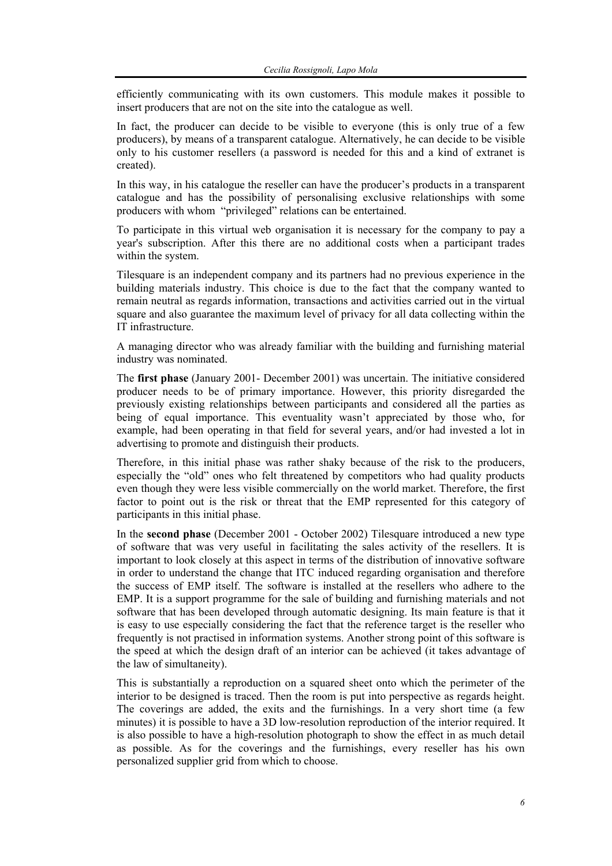efficiently communicating with its own customers. This module makes it possible to insert producers that are not on the site into the catalogue as well.

In fact, the producer can decide to be visible to everyone (this is only true of a few producers), by means of a transparent catalogue. Alternatively, he can decide to be visible only to his customer resellers (a password is needed for this and a kind of extranet is created).

In this way, in his catalogue the reseller can have the producer's products in a transparent catalogue and has the possibility of personalising exclusive relationships with some producers with whom "privileged" relations can be entertained.

To participate in this virtual web organisation it is necessary for the company to pay a year's subscription. After this there are no additional costs when a participant trades within the system.

Tilesquare is an independent company and its partners had no previous experience in the building materials industry. This choice is due to the fact that the company wanted to remain neutral as regards information, transactions and activities carried out in the virtual square and also guarantee the maximum level of privacy for all data collecting within the IT infrastructure.

A managing director who was already familiar with the building and furnishing material industry was nominated.

The **first phase** (January 2001- December 2001) was uncertain. The initiative considered producer needs to be of primary importance. However, this priority disregarded the previously existing relationships between participants and considered all the parties as being of equal importance. This eventuality wasn't appreciated by those who, for example, had been operating in that field for several years, and/or had invested a lot in advertising to promote and distinguish their products.

Therefore, in this initial phase was rather shaky because of the risk to the producers, especially the "old" ones who felt threatened by competitors who had quality products even though they were less visible commercially on the world market. Therefore, the first factor to point out is the risk or threat that the EMP represented for this category of participants in this initial phase.

In the **second phase** (December 2001 - October 2002) Tilesquare introduced a new type of software that was very useful in facilitating the sales activity of the resellers. It is important to look closely at this aspect in terms of the distribution of innovative software in order to understand the change that ITC induced regarding organisation and therefore the success of EMP itself. The software is installed at the resellers who adhere to the EMP. It is a support programme for the sale of building and furnishing materials and not software that has been developed through automatic designing. Its main feature is that it is easy to use especially considering the fact that the reference target is the reseller who frequently is not practised in information systems. Another strong point of this software is the speed at which the design draft of an interior can be achieved (it takes advantage of the law of simultaneity).

This is substantially a reproduction on a squared sheet onto which the perimeter of the interior to be designed is traced. Then the room is put into perspective as regards height. The coverings are added, the exits and the furnishings. In a very short time (a few minutes) it is possible to have a 3D low-resolution reproduction of the interior required. It is also possible to have a high-resolution photograph to show the effect in as much detail as possible. As for the coverings and the furnishings, every reseller has his own personalized supplier grid from which to choose.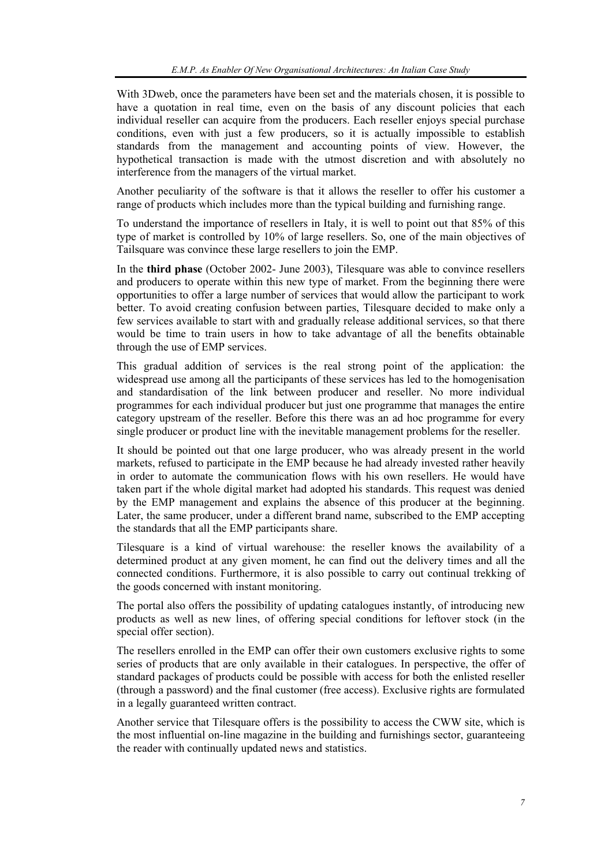With 3Dweb, once the parameters have been set and the materials chosen, it is possible to have a quotation in real time, even on the basis of any discount policies that each individual reseller can acquire from the producers. Each reseller enjoys special purchase conditions, even with just a few producers, so it is actually impossible to establish standards from the management and accounting points of view. However, the hypothetical transaction is made with the utmost discretion and with absolutely no interference from the managers of the virtual market.

Another peculiarity of the software is that it allows the reseller to offer his customer a range of products which includes more than the typical building and furnishing range.

To understand the importance of resellers in Italy, it is well to point out that 85% of this type of market is controlled by 10% of large resellers. So, one of the main objectives of Tailsquare was convince these large resellers to join the EMP.

In the **third phase** (October 2002- June 2003), Tilesquare was able to convince resellers and producers to operate within this new type of market. From the beginning there were opportunities to offer a large number of services that would allow the participant to work better. To avoid creating confusion between parties, Tilesquare decided to make only a few services available to start with and gradually release additional services, so that there would be time to train users in how to take advantage of all the benefits obtainable through the use of EMP services.

This gradual addition of services is the real strong point of the application: the widespread use among all the participants of these services has led to the homogenisation and standardisation of the link between producer and reseller. No more individual programmes for each individual producer but just one programme that manages the entire category upstream of the reseller. Before this there was an ad hoc programme for every single producer or product line with the inevitable management problems for the reseller.

It should be pointed out that one large producer, who was already present in the world markets, refused to participate in the EMP because he had already invested rather heavily in order to automate the communication flows with his own resellers. He would have taken part if the whole digital market had adopted his standards. This request was denied by the EMP management and explains the absence of this producer at the beginning. Later, the same producer, under a different brand name, subscribed to the EMP accepting the standards that all the EMP participants share.

Tilesquare is a kind of virtual warehouse: the reseller knows the availability of a determined product at any given moment, he can find out the delivery times and all the connected conditions. Furthermore, it is also possible to carry out continual trekking of the goods concerned with instant monitoring.

The portal also offers the possibility of updating catalogues instantly, of introducing new products as well as new lines, of offering special conditions for leftover stock (in the special offer section).

The resellers enrolled in the EMP can offer their own customers exclusive rights to some series of products that are only available in their catalogues. In perspective, the offer of standard packages of products could be possible with access for both the enlisted reseller (through a password) and the final customer (free access). Exclusive rights are formulated in a legally guaranteed written contract.

Another service that Tilesquare offers is the possibility to access the CWW site, which is the most influential on-line magazine in the building and furnishings sector, guaranteeing the reader with continually updated news and statistics.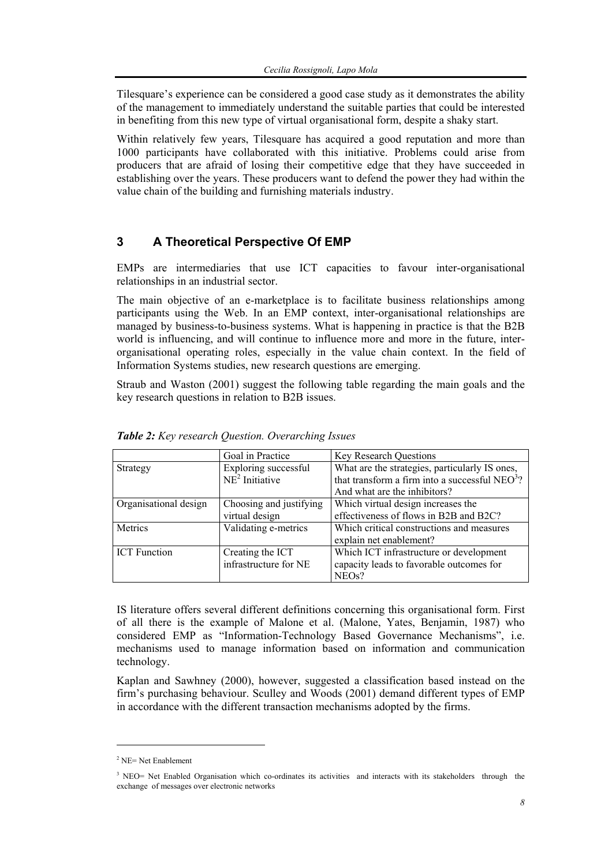Tilesquare's experience can be considered a good case study as it demonstrates the ability of the management to immediately understand the suitable parties that could be interested in benefiting from this new type of virtual organisational form, despite a shaky start.

Within relatively few years, Tilesquare has acquired a good reputation and more than 1000 participants have collaborated with this initiative. Problems could arise from producers that are afraid of losing their competitive edge that they have succeeded in establishing over the years. These producers want to defend the power they had within the value chain of the building and furnishing materials industry.

## **3 A Theoretical Perspective Of EMP**

EMPs are intermediaries that use ICT capacities to favour inter-organisational relationships in an industrial sector.

The main objective of an e-marketplace is to facilitate business relationships among participants using the Web. In an EMP context, inter-organisational relationships are managed by business-to-business systems. What is happening in practice is that the B2B world is influencing, and will continue to influence more and more in the future, interorganisational operating roles, especially in the value chain context. In the field of Information Systems studies, new research questions are emerging.

Straub and Waston (2001) suggest the following table regarding the main goals and the key research questions in relation to B2B issues.

|                       | Goal in Practice                          | <b>Key Research Questions</b>                                                                                                                |
|-----------------------|-------------------------------------------|----------------------------------------------------------------------------------------------------------------------------------------------|
| Strategy              | Exploring successful<br>$NE2$ Initiative  | What are the strategies, particularly IS ones,<br>that transform a firm into a successful NEO <sup>3</sup> ?<br>And what are the inhibitors? |
| Organisational design | Choosing and justifying<br>virtual design | Which virtual design increases the<br>effectiveness of flows in B2B and B2C?                                                                 |
| Metrics               | Validating e-metrics                      | Which critical constructions and measures<br>explain net enablement?                                                                         |
| <b>ICT</b> Function   | Creating the ICT<br>infrastructure for NE | Which ICT infrastructure or development<br>capacity leads to favorable outcomes for<br>NEO <sub>s</sub> ?                                    |

*Table 2: Key research Question. Overarching Issues* 

IS literature offers several different definitions concerning this organisational form. First of all there is the example of Malone et al. (Malone, Yates, Benjamin, 1987) who considered EMP as "Information-Technology Based Governance Mechanisms", i.e. mechanisms used to manage information based on information and communication technology.

Kaplan and Sawhney (2000), however, suggested a classification based instead on the firm's purchasing behaviour. Sculley and Woods (2001) demand different types of EMP in accordance with the different transaction mechanisms adopted by the firms.

 $\overline{a}$ 

 $2$  NE= Net Enablement

<sup>&</sup>lt;sup>3</sup> NEO= Net Enabled Organisation which co-ordinates its activities and interacts with its stakeholders through the exchange of messages over electronic networks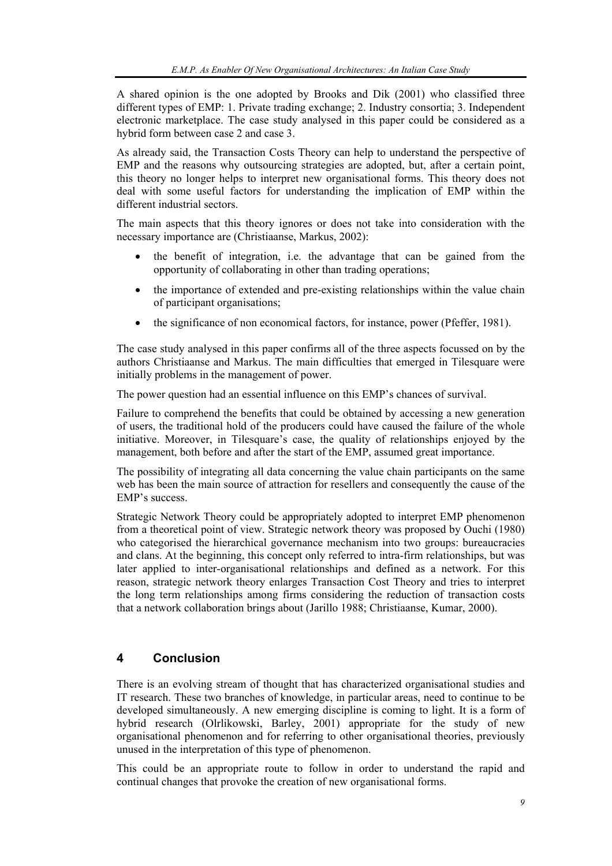A shared opinion is the one adopted by Brooks and Dik (2001) who classified three different types of EMP: 1. Private trading exchange; 2. Industry consortia; 3. Independent electronic marketplace. The case study analysed in this paper could be considered as a hybrid form between case 2 and case 3.

As already said, the Transaction Costs Theory can help to understand the perspective of EMP and the reasons why outsourcing strategies are adopted, but, after a certain point, this theory no longer helps to interpret new organisational forms. This theory does not deal with some useful factors for understanding the implication of EMP within the different industrial sectors.

The main aspects that this theory ignores or does not take into consideration with the necessary importance are (Christiaanse, Markus, 2002):

- the benefit of integration, i.e. the advantage that can be gained from the opportunity of collaborating in other than trading operations;
- the importance of extended and pre-existing relationships within the value chain of participant organisations;
- the significance of non economical factors, for instance, power (Pfeffer, 1981).

The case study analysed in this paper confirms all of the three aspects focussed on by the authors Christiaanse and Markus. The main difficulties that emerged in Tilesquare were initially problems in the management of power.

The power question had an essential influence on this EMP's chances of survival.

Failure to comprehend the benefits that could be obtained by accessing a new generation of users, the traditional hold of the producers could have caused the failure of the whole initiative. Moreover, in Tilesquare's case, the quality of relationships enjoyed by the management, both before and after the start of the EMP, assumed great importance.

The possibility of integrating all data concerning the value chain participants on the same web has been the main source of attraction for resellers and consequently the cause of the EMP's success.

Strategic Network Theory could be appropriately adopted to interpret EMP phenomenon from a theoretical point of view. Strategic network theory was proposed by Ouchi (1980) who categorised the hierarchical governance mechanism into two groups: bureaucracies and clans. At the beginning, this concept only referred to intra-firm relationships, but was later applied to inter-organisational relationships and defined as a network. For this reason, strategic network theory enlarges Transaction Cost Theory and tries to interpret the long term relationships among firms considering the reduction of transaction costs that a network collaboration brings about (Jarillo 1988; Christiaanse, Kumar, 2000).

### **4 Conclusion**

There is an evolving stream of thought that has characterized organisational studies and IT research. These two branches of knowledge, in particular areas, need to continue to be developed simultaneously. A new emerging discipline is coming to light. It is a form of hybrid research (Olrlikowski, Barley, 2001) appropriate for the study of new organisational phenomenon and for referring to other organisational theories, previously unused in the interpretation of this type of phenomenon.

This could be an appropriate route to follow in order to understand the rapid and continual changes that provoke the creation of new organisational forms.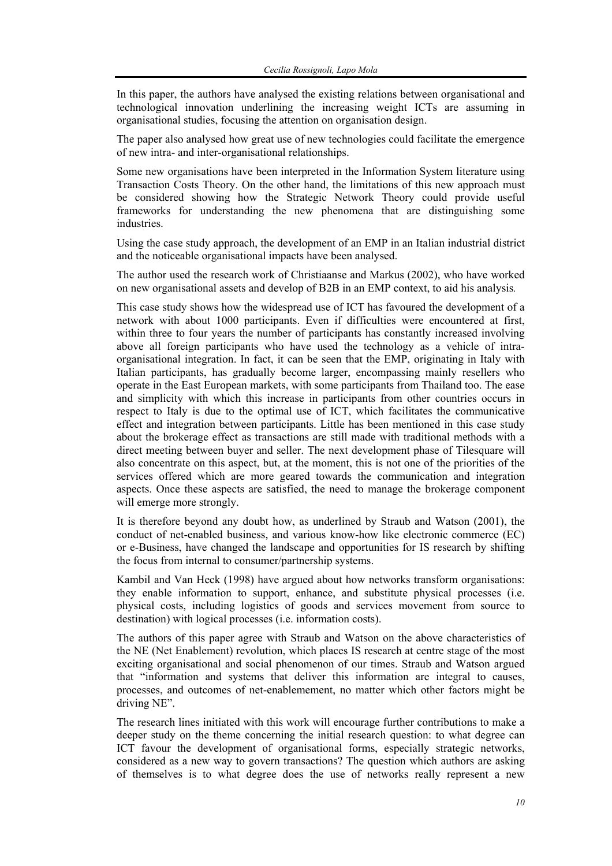In this paper, the authors have analysed the existing relations between organisational and technological innovation underlining the increasing weight ICTs are assuming in organisational studies, focusing the attention on organisation design.

The paper also analysed how great use of new technologies could facilitate the emergence of new intra- and inter-organisational relationships.

Some new organisations have been interpreted in the Information System literature using Transaction Costs Theory. On the other hand, the limitations of this new approach must be considered showing how the Strategic Network Theory could provide useful frameworks for understanding the new phenomena that are distinguishing some industries.

Using the case study approach, the development of an EMP in an Italian industrial district and the noticeable organisational impacts have been analysed.

The author used the research work of Christiaanse and Markus (2002), who have worked on new organisational assets and develop of B2B in an EMP context, to aid his analysis*.* 

This case study shows how the widespread use of ICT has favoured the development of a network with about 1000 participants. Even if difficulties were encountered at first, within three to four years the number of participants has constantly increased involving above all foreign participants who have used the technology as a vehicle of intraorganisational integration. In fact, it can be seen that the EMP, originating in Italy with Italian participants, has gradually become larger, encompassing mainly resellers who operate in the East European markets, with some participants from Thailand too. The ease and simplicity with which this increase in participants from other countries occurs in respect to Italy is due to the optimal use of ICT, which facilitates the communicative effect and integration between participants. Little has been mentioned in this case study about the brokerage effect as transactions are still made with traditional methods with a direct meeting between buyer and seller. The next development phase of Tilesquare will also concentrate on this aspect, but, at the moment, this is not one of the priorities of the services offered which are more geared towards the communication and integration aspects. Once these aspects are satisfied, the need to manage the brokerage component will emerge more strongly.

It is therefore beyond any doubt how, as underlined by Straub and Watson (2001), the conduct of net-enabled business, and various know-how like electronic commerce (EC) or e-Business, have changed the landscape and opportunities for IS research by shifting the focus from internal to consumer/partnership systems.

Kambil and Van Heck (1998) have argued about how networks transform organisations: they enable information to support, enhance, and substitute physical processes (i.e. physical costs, including logistics of goods and services movement from source to destination) with logical processes (i.e. information costs).

The authors of this paper agree with Straub and Watson on the above characteristics of the NE (Net Enablement) revolution, which places IS research at centre stage of the most exciting organisational and social phenomenon of our times. Straub and Watson argued that "information and systems that deliver this information are integral to causes, processes, and outcomes of net-enablemement, no matter which other factors might be driving NE".

The research lines initiated with this work will encourage further contributions to make a deeper study on the theme concerning the initial research question: to what degree can ICT favour the development of organisational forms, especially strategic networks, considered as a new way to govern transactions? The question which authors are asking of themselves is to what degree does the use of networks really represent a new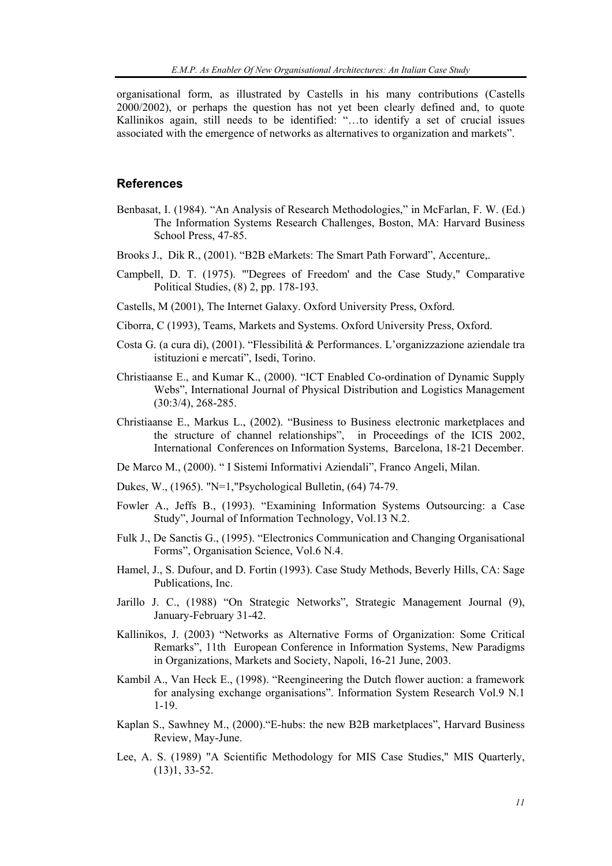organisational form, as illustrated by Castells in his many contributions (Castells 2000/2002), or perhaps the question has not yet been clearly defined and, to quote Kallinikos again, still needs to be identified: "…to identify a set of crucial issues associated with the emergence of networks as alternatives to organization and markets".

#### **References**

- Benbasat, I. (1984). "An Analysis of Research Methodologies," in McFarlan, F. W. (Ed.) The Information Systems Research Challenges, Boston, MA: Harvard Business School Press, 47-85.
- Brooks J., Dik R., (2001). "B2B eMarkets: The Smart Path Forward", Accenture,.
- Campbell, D. T. (1975). "'Degrees of Freedom' and the Case Study," Comparative Political Studies, (8) 2, pp. 178-193.
- Castells, M (2001), The Internet Galaxy. Oxford University Press, Oxford.
- Ciborra, C (1993), Teams, Markets and Systems. Oxford University Press, Oxford.
- Costa G. (a cura di), (2001). "Flessibilità & Performances. L'organizzazione aziendale tra istituzioni e mercati", Isedi, Torino.
- Christiaanse E., and Kumar K., (2000). "ICT Enabled Co-ordination of Dynamic Supply Webs", International Journal of Physical Distribution and Logistics Management (30:3/4), 268-285.
- Christiaanse E., Markus L., (2002). "Business to Business electronic marketplaces and the structure of channel relationships", in Proceedings of the ICIS 2002, International Conferences on Information Systems, Barcelona, 18-21 December.
- De Marco M., (2000). " I Sistemi Informativi Aziendali", Franco Angeli, Milan.
- Dukes, W., (1965). "N=1,"Psychological Bulletin, (64) 74-79.
- Fowler A., Jeffs B., (1993). "Examining Information Systems Outsourcing: a Case Study", Journal of Information Technology, Vol.13 N.2.
- Fulk J., De Sanctis G., (1995). "Electronics Communication and Changing Organisational Forms", Organisation Science, Vol.6 N.4.
- Hamel, J., S. Dufour, and D. Fortin (1993). Case Study Methods, Beverly Hills, CA: Sage Publications, Inc.
- Jarillo J. C., (1988) "On Strategic Networks", Strategic Management Journal (9), January-February 31-42.
- Kallinikos, J. (2003) "Networks as Alternative Forms of Organization: Some Critical Remarks", 11th European Conference in Information Systems, New Paradigms in Organizations, Markets and Society, Napoli, 16-21 June, 2003.
- Kambil A., Van Heck E., (1998). "Reengineering the Dutch flower auction: a framework for analysing exchange organisations". Information System Research Vol.9 N.1 1-19.
- Kaplan S., Sawhney M., (2000)."E-hubs: the new B2B marketplaces", Harvard Business Review, May-June.
- Lee, A. S. (1989) "A Scientific Methodology for MIS Case Studies," MIS Quarterly, (13)1, 33-52.